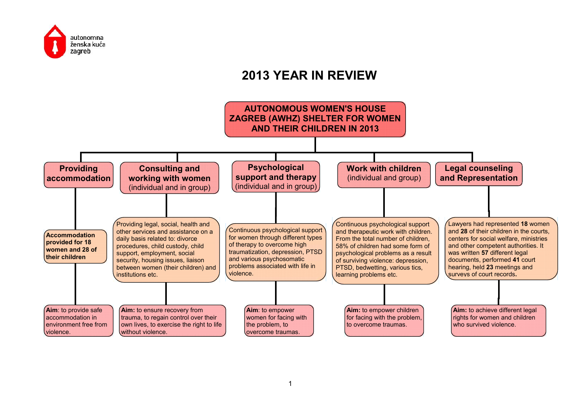

## **2013 YEAR IN REVIEW**

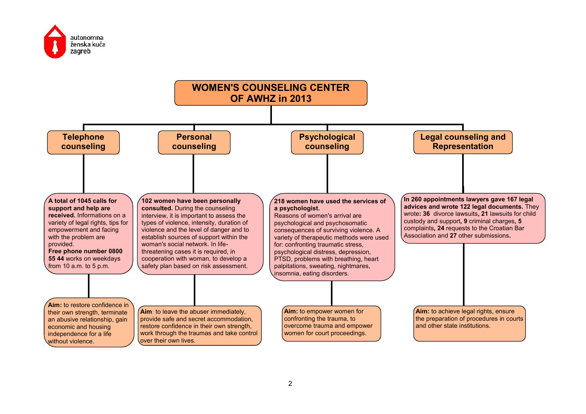

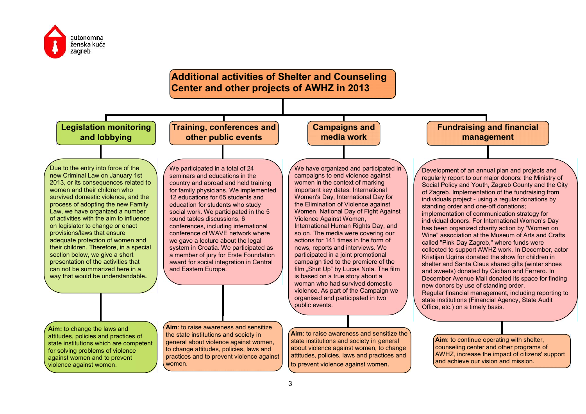

## **Additional activities of Shelter and Counseling Center and other projects of AWHZ in 2013**

**Legislation monitoring and lobbying**

**Training, conferences and other public events**



Due to the entry into force of the new Criminal Law on January 1st 2013, or its consequences related to women and their children who survived domestic violence, and the process of adopting the new Family Law, we have organized a number of activities with the aim to influence on legislator to change or enact provisions/laws that ensure adequate protection of women and their children. Therefore, in a special section below, we give a short presentation of the activities that can not be summarized here in a way that would be understandable**.**

We participated in a total of 24 seminars and educations in the country and abroad and held training for family physicians. We implemented 12 educations for 65 students and education for students who study social work. We participated in the 5 round tables discussions, 6 conferences, including international conference of WAVE network where we gave a lecture about the legal system in Croatia. We participated as a member of jury for Erste Foundation award for social integration in Central and Eastern Europe.

We have organized and participated in campaigns to end violence against women in the context of marking important key dates: International Women's Day, International Day for the Elimination of Violence against Women, National Day of Fight Against Violence Against Women, International Human Rights Day, and so on. The media were covering our actions for 141 times in the form of news, reports and interviews. We participated in a joint promotional campaign tied to the premiere of the film "Shut Up" by Lucas Nola. The film is based on a true story about a woman who had survived domestic violence. As part of the Campaign we organised and participated in two public events.

Development of an annual plan and projects and regularly report to our major donors: the Ministry of Social Policy and Youth, Zagreb County and the City of Zagreb. Implementation of the fundraising from individuals project - using a regular donations by standing order and one-off donations; implementation of communication strategy for individual donors. For International Women's Day has been organized charity action by "Women on Wine" association at the Museum of Arts and Crafts called "Pink Day Zagreb," where funds were collected to support AWHZ work. In December, actor Kristijan Ugrina donated the show for children in shelter and Santa Claus shared gifts (winter shoes and sweets) donated by Ciciban and Ferrero. In December Avenue Mall donated its space for finding new donors by use of standing order. Regular financial management, including reporting to state institutions (Financial Agency, State Audit Office, etc.) on a timely basis.

**Fundraising and financial management**

**Aim:** to change the laws and attitudes, policies and practices of state institutions which are competent for solving problems of violence against women and to prevent violence against women.

**Aim**: to raise awareness and sensitize the state institutions and society in general about violence against women, to change attitudes, policies, laws and practices and to prevent violence against women.

zza de la componenta de la construcción de la construcción de la construcción de la construcción de la construcción de la construcción de la construcción de la construcción de la construcción de la construcción de la const

**Aim**: to raise awareness and sensitize the state institutions and society in general about violence against women, to change attitudes, policies, laws and practices and to prevent violence against women.

**Aim**: to continue operating with shelter, counseling center and other programs of AWHZ, increase the impact of citizens' support and achieve our vision and mission.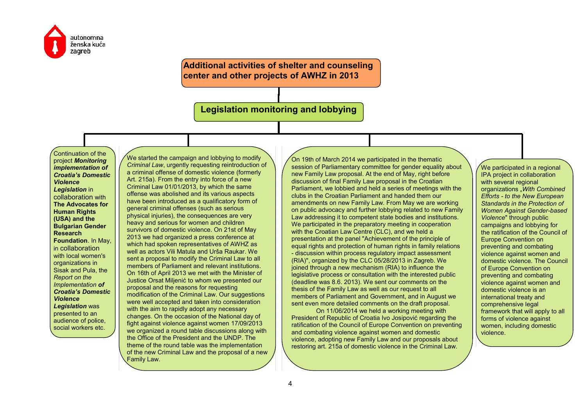

**Additional activities of shelter and counseling center and other projects of AWHZ in 2013**

**Legislation monitoring and lobbying**

Continuation of the project *Monitoring implementation of Croatia's Domestic Violence Legislation* in collaboration with **The Advocates for Human Rights (USA) and the Bulgarian Gender Research Foundation**. In May, in collaboration with local women's organizations in Sisak and Pula, the *Report on the Implementation of Croatia's Domestic Violence Legislation* was presented to an audience of police, social workers etc.

We started the campaign and lobbying to modify *Criminal Law*, urgently requesting reintroduction of a criminal offense of domestic violence (formerly Art. 215a). From the entry into force of a new Criminal Law 01/01/2013, by which the same offense was abolished and its various aspects have been introduced as a qualificatory form of general criminal offenses (such as serious physical injuries), the consequences are very heavy and serious for women and children survivors of domestic violence. On 21st of May 2013 we had organized a press conference at which had spoken representatives of AWHZ as well as actors Vili Matula and Urša Raukar. We sent a proposal to modify the Criminal Law to all members of Parliament and relevant institutions. On 16th of April 2013 we met with the Minister of Justice Orsat Miljenić to whom we presented our proposal and the reasons for requesting modification of the Criminal Law. Our suggestions were well accepted and taken into consideration with the aim to rapidly adopt any necessary changes. On the occasion of the National day of fight against violence against women 17/09/2013 we organized a round table discussions along with the Office of the President and the UNDP. The theme of the round table was the implementation of the new Criminal Law and the proposal of a new Family Law.

On 19th of March 2014 we participated in the thematic session of Parliamentary committee for gender equality about new Family Law proposal. At the end of May, right before discussion of final Family Law proposal in the Croatian Parliament, we lobbied and held a series of meetings with the clubs in the Croatian Parliament and handed them our amendments on new Family Law. From May we are working on public advocacy and further lobbying related to new Family Law addressing it to competent state bodies and institutions. We participated in the preparatory meeting in cooperation with the Croatian Law Centre (CLC), and we held a presentation at the panel "Achievement of the principle of equal rights and protection of human rights in family relations - discussion within process regulatory impact assessment (RIA)", organized by the CLC 05/28/2013 in Zagreb. We joined through a new mechanism (RIA) to influence the legislative process or consultation with the interested public (deadline was 8.6. 2013). We sent our comments on the thesis of the Family Law as well as our request to all members of Parliament and Government, and in August we sent even more detailed comments on the draft proposal.

On 11/06/2014 we held a working meeting with President of Republic of Croatia Ivo Josipović regarding the ratification of the Council of Europe Convention on preventing and combating violence against women and domestic violence, adopting new Family Law and our proposals about restoring art. 215a of domestic violence in the Criminal Law.

We participated in a regional IPA project in collaboration with several regional organizations "*With Combined Efforts - to the New European Standards in the Protection of Women Against Gender-based Violence*" through public campaigns and lobbying for the ratification of the Council of Europe Convention on preventing and combating violence against women and domestic violence. The Council of Europe Convention on preventing and combating violence against women and domestic violence is an international treaty and comprehensive legal framework that will apply to all forms of violence against women, including domestic violence.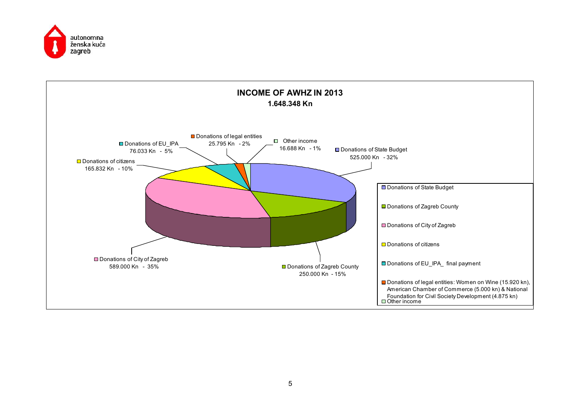